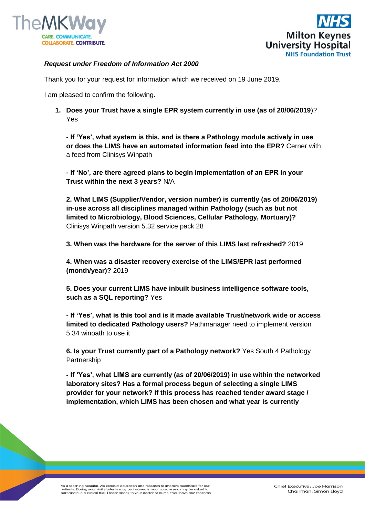



## *Request under Freedom of Information Act 2000*

Thank you for your request for information which we received on 19 June 2019.

I am pleased to confirm the following.

**1. Does your Trust have a single EPR system currently in use (as of 20/06/2019**)? Yes

**- If 'Yes', what system is this, and is there a Pathology module actively in use or does the LIMS have an automated information feed into the EPR?** Cerner with a feed from Clinisys Winpath

**- If 'No', are there agreed plans to begin implementation of an EPR in your Trust within the next 3 years?** N/A

**2. What LIMS (Supplier/Vendor, version number) is currently (as of 20/06/2019) in-use across all disciplines managed within Pathology (such as but not limited to Microbiology, Blood Sciences, Cellular Pathology, Mortuary)?**  Clinisys Winpath version 5.32 service pack 28

**3. When was the hardware for the server of this LIMS last refreshed?** 2019

**4. When was a disaster recovery exercise of the LIMS/EPR last performed (month/year)?** 2019

**5. Does your current LIMS have inbuilt business intelligence software tools, such as a SQL reporting?** Yes

**- If 'Yes', what is this tool and is it made available Trust/network wide or access limited to dedicated Pathology users?** Pathmanager need to implement version 5.34 winoath to use it

**6. Is your Trust currently part of a Pathology network?** Yes South 4 Pathology **Partnership** 

**- If 'Yes', what LIMS are currently (as of 20/06/2019) in use within the networked laboratory sites? Has a formal process begun of selecting a single LIMS provider for your network? If this process has reached tender award stage / implementation, which LIMS has been chosen and what year is currently** 

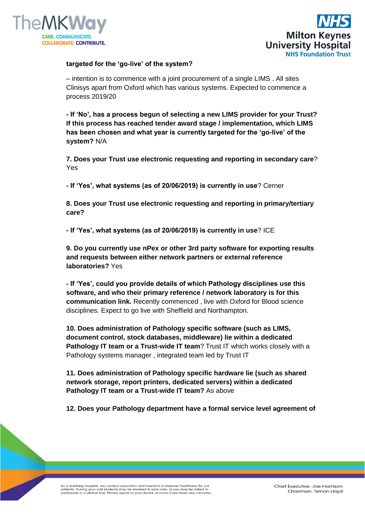



## **targeted for the 'go-live' of the system?**

– intention is to commence with a joint procurement of a single LIMS . All sites Clinisys apart from Oxford which has various systems. Expected to commence a process 2019/20

**- If 'No', has a process begun of selecting a new LIMS provider for your Trust? If this process has reached tender award stage / implementation, which LIMS has been chosen and what year is currently targeted for the 'go-live' of the system?** N/A

**7. Does your Trust use electronic requesting and reporting in secondary care**? Yes

**- If 'Yes', what systems (as of 20/06/2019) is currently in use**? Cerner

**8. Does your Trust use electronic requesting and reporting in primary/tertiary care?**

**- If 'Yes', what systems (as of 20/06/2019) is currently in use**? ICE

**9. Do you currently use nPex or other 3rd party software for exporting results and requests between either network partners or external reference laboratories?** Yes

**- If 'Yes', could you provide details of which Pathology disciplines use this software, and who their primary reference / network laboratory is for this communication link.** Recently commenced , live with Oxford for Blood science disciplines. Expect to go live with Sheffield and Northampton.

**10. Does administration of Pathology specific software (such as LIMS, document control, stock databases, middleware) lie within a dedicated Pathology IT team or a Trust-wide IT team?** Trust IT which works closely with a Pathology systems manager , integrated team led by Trust IT

**11. Does administration of Pathology specific hardware lie (such as shared network storage, report printers, dedicated servers) within a dedicated Pathology IT team or a Trust-wide IT team?** As above

**12. Does your Pathology department have a formal service level agreement of**